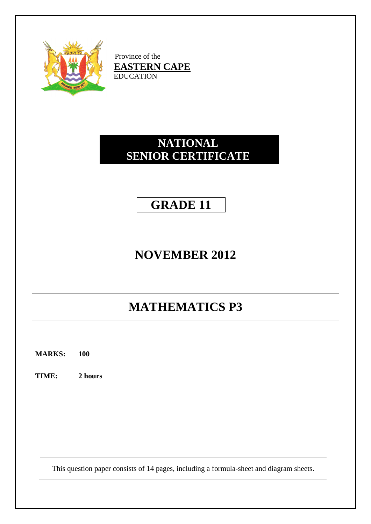

Province of the **EASTERN CAPE** EDUCATION

# **NATIONAL SENIOR CERTIFICATE**

# **GRADE 11**

# **NOVEMBER 2012**

# **MATHEMATICS P3**

**MARKS: 100**

**TIME: 2 hours**

This question paper consists of 14 pages, including a formula-sheet and diagram sheets.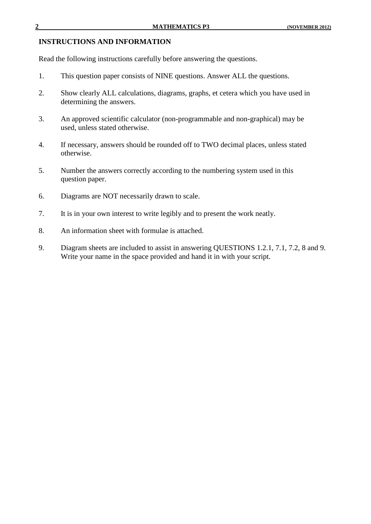#### **INSTRUCTIONS AND INFORMATION**

Read the following instructions carefully before answering the questions.

- 1. This question paper consists of NINE questions. Answer ALL the questions.
- 2. Show clearly ALL calculations, diagrams, graphs, et cetera which you have used in determining the answers.
- 3. An approved scientific calculator (non-programmable and non-graphical) may be used, unless stated otherwise.
- 4. If necessary, answers should be rounded off to TWO decimal places, unless stated otherwise.
- 5. Number the answers correctly according to the numbering system used in this question paper.
- 6. Diagrams are NOT necessarily drawn to scale.
- 7. It is in your own interest to write legibly and to present the work neatly.
- 8. An information sheet with formulae is attached.
- 9. Diagram sheets are included to assist in answering QUESTIONS 1.2.1, 7.1, 7.2, 8 and 9. Write your name in the space provided and hand it in with your script.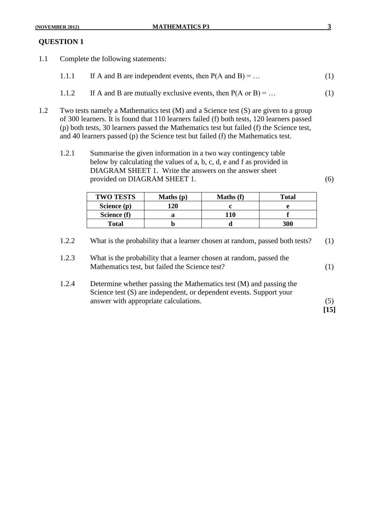1.1 Complete the following statements:

| If A and B are independent events, then $P(A \text{ and } B) = $<br>1.1.1 |  |
|---------------------------------------------------------------------------|--|
|---------------------------------------------------------------------------|--|

- 1.1.2 If A and B are mutually exclusive events, then  $P(A \text{ or } B) = ...$  (1)
- 1.2 Two tests namely a Mathematics test (M) and a Science test (S) are given to a group of 300 learners. It is found that 110 learners failed (f) both tests, 120 learners passed (p) both tests, 30 learners passed the Mathematics test but failed (f) the Science test, and 40 learners passed (p) the Science test but failed (f) the Mathematics test.
	- 1.2.1 Summarise the given information in a two way contingency table below by calculating the values of a, b, c, d, e and f as provided in DIAGRAM SHEET 1. Write the answers on the answer sheet provided on DIAGRAM SHEET 1. (6)

| <b>TWO TESTS</b> | Maths $(p)$ | <b>Maths</b> (f) | <b>Total</b> |
|------------------|-------------|------------------|--------------|
| Science (p)      | 120         |                  |              |
| Science (f)      |             | 110              |              |
| <b>Total</b>     |             |                  | 300          |

- 1.2.2 What is the probability that a learner chosen at random, passed both tests? (1)
- 1.2.3 What is the probability that a learner chosen at random, passed the Mathematics test, but failed the Science test? (1)
- 1.2.4 Determine whether passing the Mathematics test (M) and passing the Science test (S) are independent, or dependent events. Support your answer with appropriate calculations. (5)

**[15]**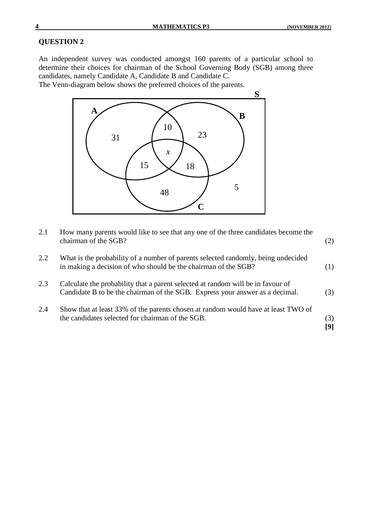An independent survey was conducted amongst 160 parents of a particular school to determine their choices for chairman of the School Governing Body (SGB) among three candidates, namely Candidate A, Candidate B and Candidate C.

The Venn-diagram below shows the preferred choices of the parents.



| 2.1 | How many parents would like to see that any one of the three candidates become the<br>chairman of the SGB?                                                      | (2)        |
|-----|-----------------------------------------------------------------------------------------------------------------------------------------------------------------|------------|
| 2.2 | What is the probability of a number of parents selected randomly, being undecided<br>in making a decision of who should be the chairman of the SGB?             | (1)        |
| 2.3 | Calculate the probability that a parent selected at random will be in favour of<br>Candidate B to be the chairman of the SGB. Express your answer as a decimal. | (3)        |
| 2.4 | Show that at least 33% of the parents chosen at random would have at least TWO of<br>the candidates selected for chairman of the SGB.                           | (3)<br>[9] |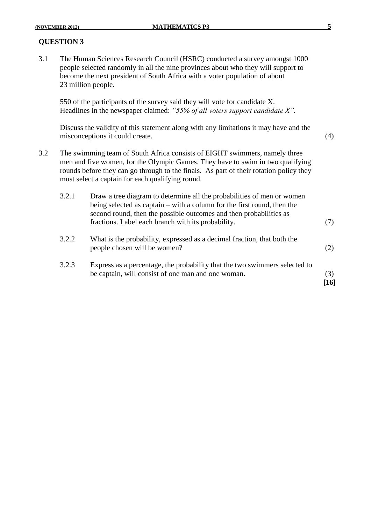3.1 The Human Sciences Research Council (HSRC) conducted a survey amongst 1000 people selected randomly in all the nine provinces about who they will support to become the next president of South Africa with a voter population of about 23 million people.

550 of the participants of the survey said they will vote for candidate X. Headlines in the newspaper claimed: *"55% of all voters support candidate X".*

Discuss the validity of this statement along with any limitations it may have and the misconceptions it could create. (4)

3.2 The swimming team of South Africa consists of EIGHT swimmers, namely three men and five women, for the Olympic Games. They have to swim in two qualifying rounds before they can go through to the finals. As part of their rotation policy they must select a captain for each qualifying round.

| 3.2.1 | Draw a tree diagram to determine all the probabilities of men or women<br>being selected as captain – with a column for the first round, then the<br>second round, then the possible outcomes and then probabilities as<br>fractions. Label each branch with its probability. |             |
|-------|-------------------------------------------------------------------------------------------------------------------------------------------------------------------------------------------------------------------------------------------------------------------------------|-------------|
| 3.2.2 | What is the probability, expressed as a decimal fraction, that both the<br>people chosen will be women?                                                                                                                                                                       | (2)         |
| 3.2.3 | Express as a percentage, the probability that the two swimmers selected to<br>be captain, will consist of one man and one woman.                                                                                                                                              | (3)<br>16 I |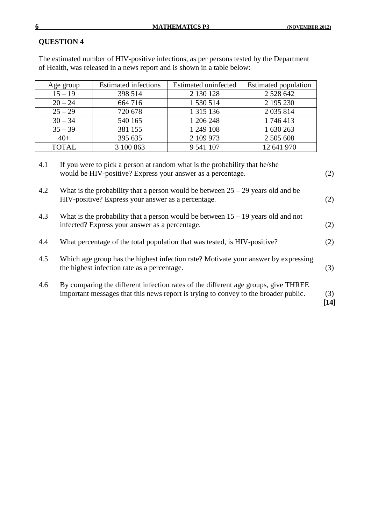**[14]**

#### **QUESTION 4**

The estimated number of HIV-positive infections, as per persons tested by the Department of Health, was released in a news report and is shown in a table below:

| Age group                                                                                                                                               | <b>Estimated infections</b> | <b>Estimated uninfected</b> | Estimated population |  |  |  |
|---------------------------------------------------------------------------------------------------------------------------------------------------------|-----------------------------|-----------------------------|----------------------|--|--|--|
| $15 - 19$                                                                                                                                               | 398 514                     | 2 130 128                   | 2 5 2 8 6 4 2        |  |  |  |
| $20 - 24$                                                                                                                                               | 664 716                     | 1 530 514                   | 2 195 230            |  |  |  |
| $25 - 29$                                                                                                                                               | 720 678                     | 1 3 1 5 1 3 6               | 2 0 35 8 14          |  |  |  |
| $30 - 34$                                                                                                                                               | 540 165                     | 1 206 248                   | 1746413              |  |  |  |
| $35 - 39$                                                                                                                                               | 381 155                     | 1 249 108                   | 1 630 263            |  |  |  |
| $40+$                                                                                                                                                   | 395 635                     | 2 109 973                   | 2 505 608            |  |  |  |
| <b>TOTAL</b>                                                                                                                                            | 3 100 863                   | 9 541 107                   | 12 641 970           |  |  |  |
| If you were to pick a person at random what is the probability that he/she<br>4.1<br>would be HIV-positive? Express your answer as a percentage.<br>(2) |                             |                             |                      |  |  |  |

<sup>4.2</sup> What is the probability that a person would be between  $25 - 29$  years old and be HIV-positive? Express your answer as a percentage. (2)

- 4.3 What is the probability that a person would be between 15 19 years old and not infected? Express your answer as a percentage. (2)
- 4.4 What percentage of the total population that was tested, is HIV-positive? (2)
- 4.5 Which age group has the highest infection rate? Motivate your answer by expressing the highest infection rate as a percentage. (3)
- 4.6 By comparing the different infection rates of the different age groups, give THREE important messages that this news report is trying to convey to the broader public. (3)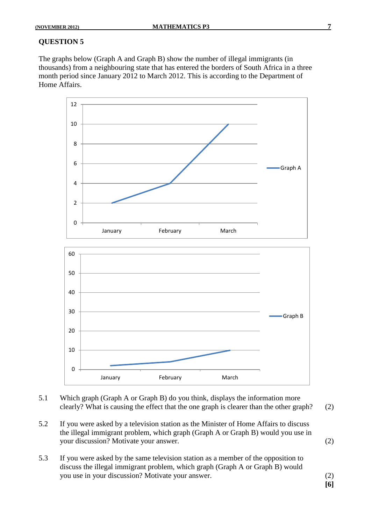The graphs below (Graph A and Graph B) show the number of illegal immigrants (in thousands) from a neighbouring state that has entered the borders of South Africa in a three month period since January 2012 to March 2012. This is according to the Department of Home Affairs.



- 5.1 Which graph (Graph A or Graph B) do you think, displays the information more clearly? What is causing the effect that the one graph is clearer than the other graph? (2)
- 5.2 If you were asked by a television station as the Minister of Home Affairs to discuss the illegal immigrant problem, which graph (Graph A or Graph B) would you use in your discussion? Motivate your answer. (2)
- 5.3 If you were asked by the same television station as a member of the opposition to discuss the illegal immigrant problem, which graph (Graph A or Graph B) would you use in your discussion? Motivate your answer. (2)

**[6]**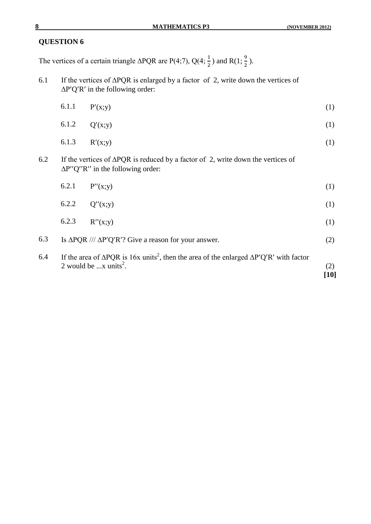The vertices of a certain triangle  $\triangle PQR$  are P(4;7), Q(4;  $\frac{1}{2}$ ) and R(1;  $\frac{3}{2}$ ).

6.1 If the vertices of ∆PQR is enlarged by a factor of 2, write down the vertices of  $\Delta P'Q'R'$  in the following order:

|     | 6.1.1 | P'(x;y)                                                                                                                                                        | (1)           |
|-----|-------|----------------------------------------------------------------------------------------------------------------------------------------------------------------|---------------|
|     | 6.1.2 | Q'(x;y)                                                                                                                                                        | (1)           |
|     | 6.1.3 | R'(x; y)                                                                                                                                                       | (1)           |
| 6.2 |       | If the vertices of $\triangle PQR$ is reduced by a factor of 2, write down the vertices of<br>$\Delta P''Q''R''$ in the following order:                       |               |
|     | 6.2.1 | P''(x;y)                                                                                                                                                       | (1)           |
|     | 6.2.2 | Q''(x; y)                                                                                                                                                      | (1)           |
|     | 6.2.3 | R''(x; y)                                                                                                                                                      | (1)           |
| 6.3 |       | Is $\Delta PQR$ /// $\Delta P'Q'R'$ ? Give a reason for your answer.                                                                                           | (2)           |
| 6.4 |       | If the area of $\triangle PQR$ is 16x units <sup>2</sup> , then the area of the enlarged $\triangle P'Q'R'$ with factor<br>2 would be $x$ units <sup>2</sup> . | (2)<br>$[10]$ |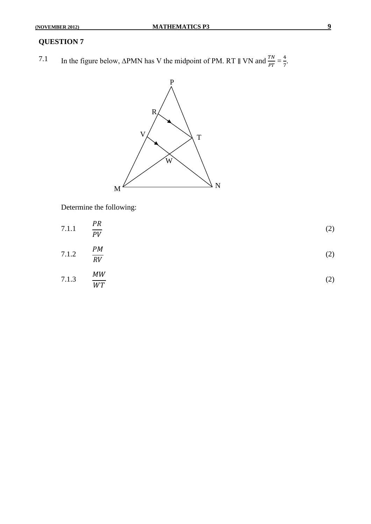7.1 In the figure below, ∆PMN has V the midpoint of PM. RT  $\parallel$  VN and  $\frac{TN}{PT} = \frac{4}{7}$  $\frac{1}{7}$ .



Determine the following:

7.1.1 
$$
\frac{PR}{PV}
$$
 (2)  
7.1.2  $\frac{PM}{RV}$  (2)  
7.1.3  $\frac{MW}{WT}$  (2)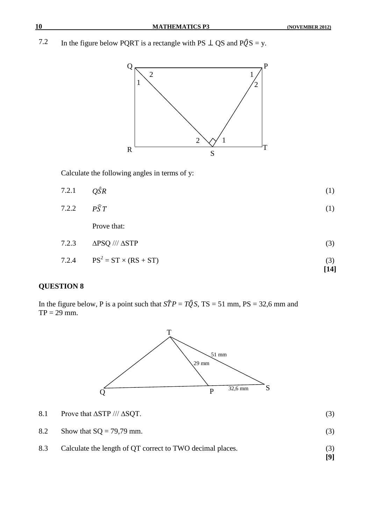7.2 In the figure below PQRT is a rectangle with PS  $\perp$  QS and P $\hat{Q}$ S = y.



Calculate the following angles in terms of y:

| $Q\hat{S}R$ | (1)                                                                  |
|-------------|----------------------------------------------------------------------|
|             | (1)                                                                  |
| Prove that: |                                                                      |
|             | (3)                                                                  |
|             | $7.2.2$ $P\widehat{S}T$<br>7.2.3 $\triangle PSQ$ /// $\triangle STP$ |

 $7.2.4$  $PS<sup>2</sup> = ST \times (RS + ST)$  (3) **[14]**

#### **QUESTION 8**

In the figure below, P is a point such that  $S\hat{T}P = T\hat{Q}S$ , TS = 51 mm, PS = 32,6 mm and  $TP = 29$  mm.



- 8.1 Prove that  $\Delta$ STP ///  $\Delta$ SQT. (3)
- 8.2 Show that  $SQ = 79{,}79$  mm. (3)
- 8.3 Calculate the length of QT correct to TWO decimal places. (3)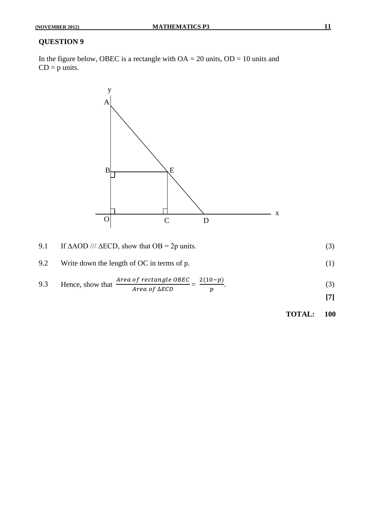In the figure below, OBEC is a rectangle with  $OA = 20$  units,  $OD = 10$  units and  $CD = p$  units.



| 9.1 | If $\triangle AOD$ /// $\triangle ECD$ , show that $OB = 2p$ units.            | (3) |
|-----|--------------------------------------------------------------------------------|-----|
| 9.2 | Write down the length of OC in terms of p.                                     |     |
| 9.3 | Area of rectangle OBEC $(10-p)$<br>Hence, show that<br>Area of $\triangle ECD$ | (3) |

**TOTAL: 100**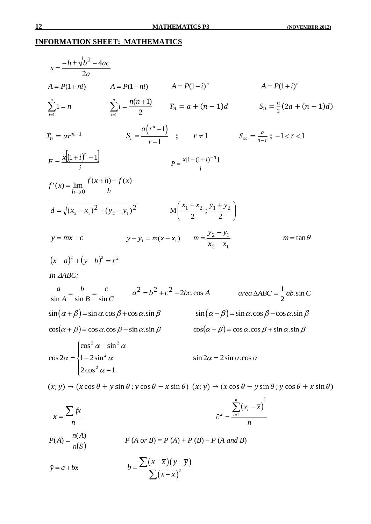## **INFORMATION SHEET: MATHEMATICS**

| $x=\frac{-b\pm\sqrt{b^2-4ac}}{2a}$                                                                              |                                                                                                     |                                                 |                                                                                                                                                             |
|-----------------------------------------------------------------------------------------------------------------|-----------------------------------------------------------------------------------------------------|-------------------------------------------------|-------------------------------------------------------------------------------------------------------------------------------------------------------------|
|                                                                                                                 | $A = P(1 + ni)$ $A = P(1 - ni)$ $A = P(1 - i)^n$                                                    |                                                 | $A = P(1+i)^n$                                                                                                                                              |
|                                                                                                                 | $\sum_{n=1}^{n} 1 = n$ $\sum_{n=1}^{n} i = \frac{n(n+1)}{2}$ $T_n = a + (n-1)d$                     |                                                 | $S_n = \frac{n}{2}(2a + (n-1)d)$                                                                                                                            |
| $T_n = ar^{n-1}$                                                                                                |                                                                                                     |                                                 | $S_n = \frac{a(r^n - 1)}{r+1}$ ; $r \neq 1$ $S_{\infty} = \frac{a}{1-r}$ ; $-1 < r < 1$                                                                     |
| $F = \frac{x[(1+i)^n - 1]}{i}$                                                                                  |                                                                                                     | $P = \frac{x[1-(1+i)^{-n}]}{i}$                 |                                                                                                                                                             |
| $f'(x) = \lim_{h \to 0} \frac{f(x+h) - f(x)}{h}$                                                                |                                                                                                     |                                                 |                                                                                                                                                             |
|                                                                                                                 | $d = \sqrt{(x_2 - x_1)^2 + (y_2 - y_1)^2}$ $M\left(\frac{x_1 + x_2}{2}; \frac{y_1 + y_2}{2}\right)$ |                                                 |                                                                                                                                                             |
| $y = mx + c$                                                                                                    | $y - y_1 = m(x - x_1)$ $m = \frac{y_2 - y_1}{x_2 - x_1}$                                            |                                                 | $m = \tan \theta$                                                                                                                                           |
| $(x-a)^2 + (y-b)^2 = r^2$                                                                                       |                                                                                                     |                                                 |                                                                                                                                                             |
| In AABC:                                                                                                        |                                                                                                     |                                                 |                                                                                                                                                             |
|                                                                                                                 |                                                                                                     |                                                 | $\frac{a}{\sin A} = \frac{b}{\sin B} = \frac{c}{\sin C} \qquad a^2 = b^2 + c^2 - 2bc \cos A \qquad \text{area } \triangle ABC = \frac{1}{2}ab \cdot \sin C$ |
|                                                                                                                 | $\sin(\alpha+\beta) = \sin\alpha \cdot \cos\beta + \cos\alpha \cdot \sin\beta$                      |                                                 | $\sin(\alpha - \beta) = \sin \alpha \cdot \cos \beta - \cos \alpha \cdot \sin \beta$                                                                        |
|                                                                                                                 | $\cos(\alpha + \beta) = \cos \alpha \cdot \cos \beta - \sin \alpha \cdot \sin \beta$                |                                                 | $\cos(\alpha - \beta) = \cos \alpha \cdot \cos \beta + \sin \alpha \cdot \sin \beta$                                                                        |
| $\cos^2 \alpha - \sin^2 \alpha$<br>$\cos 2\alpha = \left\{1 - 2\sin^2 \alpha\right\}$<br>$ 2\cos^2 \alpha - 1 $ |                                                                                                     | $\sin 2\alpha = 2\sin \alpha \cdot \cos \alpha$ |                                                                                                                                                             |

 $(x, y) \rightarrow (x \cos \theta + y \sin \theta; y \cos \theta - x \sin \theta)$   $(x, y) \rightarrow (x \cos \theta - y \sin \theta; y \cos \theta + x \sin \theta)$ 

$$
\bar{x} = \frac{\sum fx}{n}
$$
\n
$$
P(A) = \frac{n(A)}{n(S)}
$$
\n
$$
\hat{y} = a + bx
$$
\n
$$
P(A \text{ or } B) = P(A) + P(B) - P(A \text{ and } B)
$$
\n
$$
D = \frac{\sum (x - \bar{x})(y - \bar{y})}{\sum (x - \bar{x})^2}
$$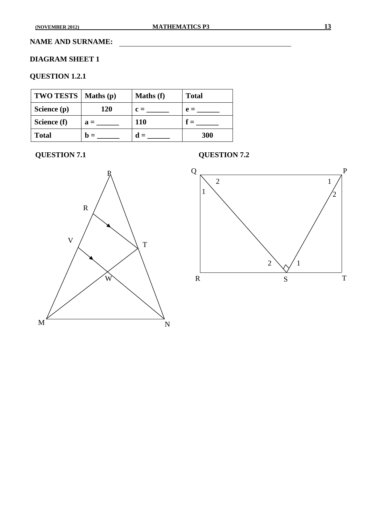#### **NAME AND SURNAME:**

#### **DIAGRAM SHEET 1**

## **QUESTION 1.2.1**

| TWO TESTS   Maths(p) |                | Maths (f)      | <b>Total</b>   |
|----------------------|----------------|----------------|----------------|
| Science (p)          | 120            | $c =$          | $\mathbf{e} =$ |
| Science (f)          | $a =$          | <b>110</b>     |                |
| <b>Total</b>         | $\mathbf{D} =$ | $\mathbf{d} =$ | 300            |

## **QUESTION 7.1 QUESTION 7.2**